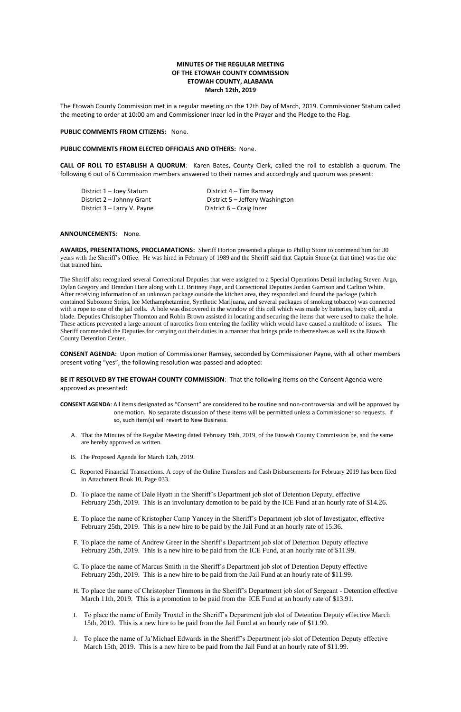# **MINUTES OF THE REGULAR MEETING OF THE ETOWAH COUNTY COMMISSION ETOWAH COUNTY, ALABAMA March 12th, 2019**

The Etowah County Commission met in a regular meeting on the 12th Day of March, 2019. Commissioner Statum called the meeting to order at 10:00 am and Commissioner Inzer led in the Prayer and the Pledge to the Flag.

#### **PUBLIC COMMENTS FROM CITIZENS:** None.

### **PUBLIC COMMENTS FROM ELECTED OFFICIALS AND OTHERS:** None.

**CALL OF ROLL TO ESTABLISH A QUORUM**: Karen Bates, County Clerk, called the roll to establish a quorum. The following 6 out of 6 Commission members answered to their names and accordingly and quorum was present:

District 1 – Joey Statum District 4 – Tim Ramsey District 3 – Larry V. Payne District 6 – Craig Inzer

District 2 – Johnny Grant District 5 – Jeffery Washington

#### **ANNOUNCEMENTS**: None.

**AWARDS, PRESENTATIONS, PROCLAMATIONS:** Sheriff Horton presented a plaque to Phillip Stone to commend him for 30 years with the Sheriff's Office. He was hired in February of 1989 and the Sheriff said that Captain Stone (at that time) was the one that trained him.

The Sheriff also recognized several Correctional Deputies that were assigned to a Special Operations Detail including Steven Argo, Dylan Gregory and Brandon Hare along with Lt. Brittney Page, and Correctional Deputies Jordan Garrison and Carlton White. After receiving information of an unknown package outside the kitchen area, they responded and found the package (which contained Suboxone Strips, Ice Methamphetamine, Synthetic Marijuana, and several packages of smoking tobacco) was connected with a rope to one of the jail cells. A hole was discovered in the window of this cell which was made by batteries, baby oil, and a blade. Deputies Christopher Thornton and Robin Brown assisted in locating and securing the items that were used to make the hole. These actions prevented a large amount of narcotics from entering the facility which would have caused a multitude of issues. The Sheriff commended the Deputies for carrying out their duties in a manner that brings pride to themselves as well as the Etowah County Detention Center.

**CONSENT AGENDA:** Upon motion of Commissioner Ramsey, seconded by Commissioner Payne, with all other members present voting "yes", the following resolution was passed and adopted:

**BE IT RESOLVED BY THE ETOWAH COUNTY COMMISSION**: That the following items on the Consent Agenda were approved as presented:

**CONSENT AGENDA**: All items designated as "Consent" are considered to be routine and non-controversial and will be approved by one motion. No separate discussion of these items will be permitted unless a Commissioner so requests. If so, such item(s) will revert to New Business.

- A. That the Minutes of the Regular Meeting dated February 19th, 2019, of the Etowah County Commission be, and the same are hereby approved as written.
- B. The Proposed Agenda for March 12th, 2019.
- C. Reported Financial Transactions. A copy of the Online Transfers and Cash Disbursements for February 2019 has been filed in Attachment Book 10, Page 033.
- D. To place the name of Dale Hyatt in the Sheriff's Department job slot of Detention Deputy, effective February 25th, 2019. This is an involuntary demotion to be paid by the ICE Fund at an hourly rate of \$14.26.
- E. To place the name of Kristopher Camp Yancey in the Sheriff's Department job slot of Investigator, effective

February 25th, 2019. This is a new hire to be paid by the Jail Fund at an hourly rate of 15.36.

- F. To place the name of Andrew Greer in the Sheriff's Department job slot of Detention Deputy effective February 25th, 2019. This is a new hire to be paid from the ICE Fund, at an hourly rate of \$11.99.
- G. To place the name of Marcus Smith in the Sheriff's Department job slot of Detention Deputy effective February 25th, 2019. This is a new hire to be paid from the Jail Fund at an hourly rate of \$11.99.
- H. To place the name of Christopher Timmons in the Sheriff's Department job slot of Sergeant Detention effective March 11th, 2019. This is a promotion to be paid from the ICE Fund at an hourly rate of \$13.91.
- I. To place the name of Emily Troxtel in the Sheriff's Department job slot of Detention Deputy effective March 15th, 2019. This is a new hire to be paid from the Jail Fund at an hourly rate of \$11.99.
- J. To place the name of Ja'Michael Edwards in the Sheriff's Department job slot of Detention Deputy effective March 15th, 2019. This is a new hire to be paid from the Jail Fund at an hourly rate of \$11.99.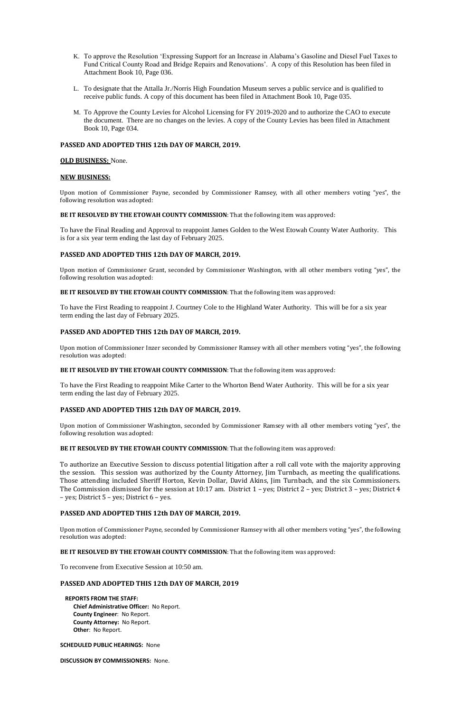- K. To approve the Resolution 'Expressing Support for an Increase in Alabama's Gasoline and Diesel Fuel Taxes to Fund Critical County Road and Bridge Repairs and Renovations'. A copy of this Resolution has been filed in Attachment Book 10, Page 036.
- L. To designate that the Attalla Jr./Norris High Foundation Museum serves a public service and is qualified to receive public funds. A copy of this document has been filed in Attachment Book 10, Page 035.
- M. To Approve the County Levies for Alcohol Licensing for FY 2019-2020 and to authorize the CAO to execute the document. There are no changes on the levies. A copy of the County Levies has been filed in Attachment Book 10, Page 034.

## **PASSED AND ADOPTED THIS 12th DAY OF MARCH, 2019.**

## **OLD BUSINESS:** None.

## **NEW BUSINESS:**

Upon motion of Commissioner Payne, seconded by Commissioner Ramsey, with all other members voting "yes", the following resolution was adopted:

### **BE IT RESOLVED BY THE ETOWAH COUNTY COMMISSION**: That the following item was approved:

To have the Final Reading and Approval to reappoint James Golden to the West Etowah County Water Authority. This is for a six year term ending the last day of February 2025.

## **PASSED AND ADOPTED THIS 12th DAY OF MARCH, 2019.**

Upon motion of Commissioner Grant, seconded by Commissioner Washington, with all other members voting "yes", the following resolution was adopted:

**BE IT RESOLVED BY THE ETOWAH COUNTY COMMISSION**: That the following item was approved:

To have the First Reading to reappoint J. Courtney Cole to the Highland Water Authority. This will be for a six year term ending the last day of February 2025.

## **PASSED AND ADOPTED THIS 12th DAY OF MARCH, 2019.**

Upon motion of Commissioner Inzer seconded by Commissioner Ramsey with all other members voting "yes", the following resolution was adopted:

#### **BE IT RESOLVED BY THE ETOWAH COUNTY COMMISSION**: That the following item was approved:

To have the First Reading to reappoint Mike Carter to the Whorton Bend Water Authority. This will be for a six year term ending the last day of February 2025.

## **PASSED AND ADOPTED THIS 12th DAY OF MARCH, 2019.**

Upon motion of Commissioner Washington, seconded by Commissioner Ramsey with all other members voting "yes", the following resolution was adopted:

#### **BE IT RESOLVED BY THE ETOWAH COUNTY COMMISSION**: That the following item was approved:

To authorize an Executive Session to discuss potential litigation after a roll call vote with the majority approving the session. This session was authorized by the County Attorney, Jim Turnbach, as meeting the qualifications. Those attending included Sheriff Horton, Kevin Dollar, David Akins, Jim Turnbach, and the six Commissioners. The Commission dismissed for the session at 10:17 am. District 1 – yes; District 2 – yes; District 3 – yes; District 4 – yes; District 5 – yes; District 6 – yes.

## **PASSED AND ADOPTED THIS 12th DAY OF MARCH, 2019.**

Upon motion of Commissioner Payne, seconded by Commissioner Ramsey with all other members voting "yes", the following resolution was adopted:

#### **BE IT RESOLVED BY THE ETOWAH COUNTY COMMISSION**: That the following item was approved:

To reconvene from Executive Session at 10:50 am.

## **PASSED AND ADOPTED THIS 12th DAY OF MARCH, 2019**

#### **REPORTS FROM THE STAFF:**

**Chief Administrative Officer:** No Report. **County Engineer**: No Report. **County Attorney:** No Report. **Other**: No Report.

**SCHEDULED PUBLIC HEARINGS:** None

**DISCUSSION BY COMMISSIONERS:** None.